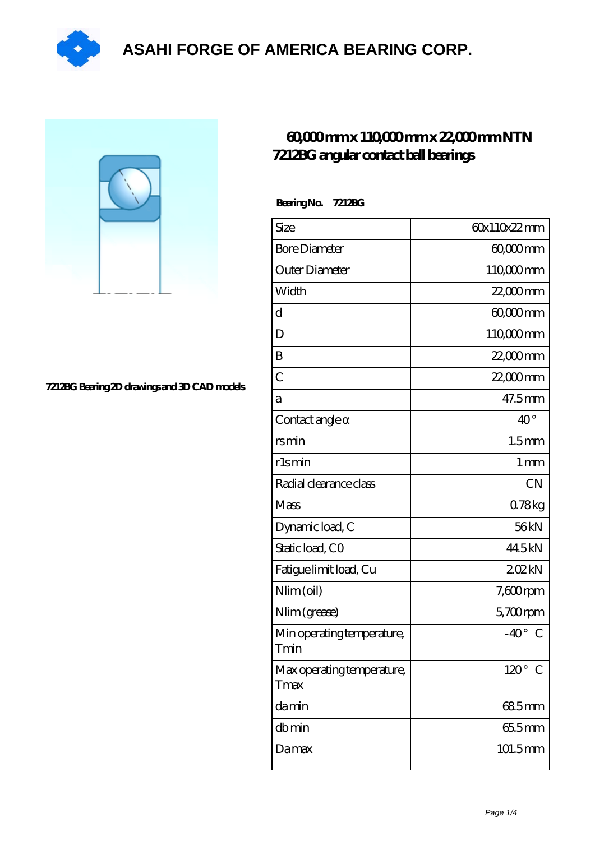

## **[ASAHI FORGE OF AMERICA BEARING CORP.](https://pufidikcanavarlar.com)**

**[7212BG Bearing 2D drawings and 3D CAD models](https://pufidikcanavarlar.com/pic-65118572.html)**

## **[60,000 mm x 110,000 mm x 22,000 mm NTN](https://pufidikcanavarlar.com/ntn-7212bg-bearing/) [7212BG angular contact ball bearings](https://pufidikcanavarlar.com/ntn-7212bg-bearing/)**

| BearingNo.<br>7212BG               |                              |
|------------------------------------|------------------------------|
| Size                               | 60x110x22mm                  |
| <b>Bore Diameter</b>               | $6000$ mm                    |
| Outer Diameter                     | 110,000mm                    |
| Width                              | $22,000$ mm                  |
| $\mathbf d$                        | 6000mm                       |
| D                                  | 110,000mm                    |
| B                                  | 22,000mm                     |
| $\overline{C}$                     | $22,000$ mm                  |
| a                                  | 47.5mm                       |
| Contact angle                      | $40^{\circ}$                 |
| rsmin                              | 1.5 <sub>mm</sub>            |
| r1smin                             | 1 <sub>mm</sub>              |
| Radial clearance class             | CN                           |
| Mass                               | 078kg                        |
| Dynamic load, C                    | 56kN                         |
| Static load, CO                    | 44.5kN                       |
| Fatigue limit load, Cu             | 202kN                        |
| $Nlim$ (oil)                       | $7,600$ rpm                  |
| Nlim (grease)                      | $5,700$ rpm                  |
| Min operating temperature,<br>Tmin | $-40^\circ$ C                |
| Max operating temperature,<br>Tmax | $120^\circ$<br>$\mathcal{C}$ |
| damin                              | 685mm                        |
| dbmin                              | 655mm                        |
| Damax                              | 101.5mm                      |
|                                    |                              |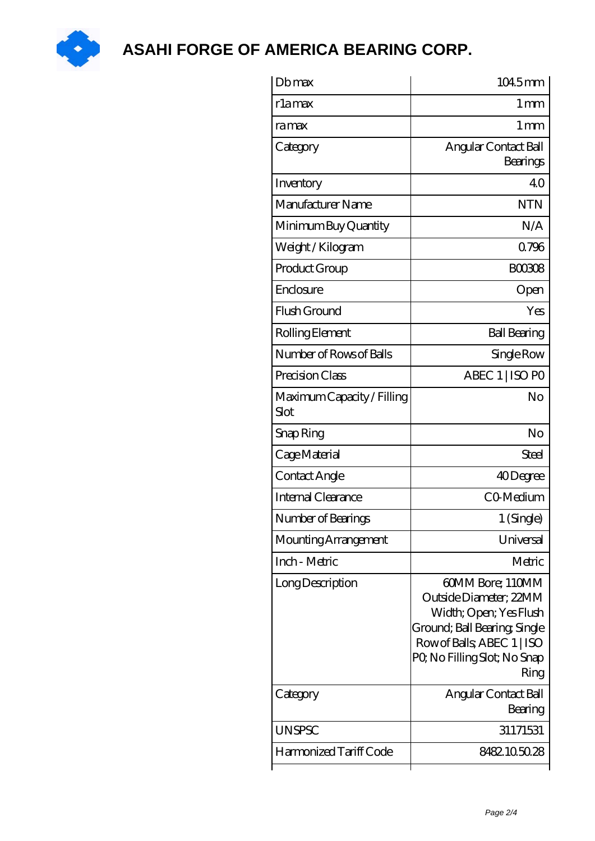

**[ASAHI FORGE OF AMERICA BEARING CORP.](https://pufidikcanavarlar.com)**

| Dbmax                              | 1045mm                                                                                                                                                                    |
|------------------------------------|---------------------------------------------------------------------------------------------------------------------------------------------------------------------------|
| rlamax                             | 1 mm                                                                                                                                                                      |
| ramax                              | $1 \,\mathrm{mm}$                                                                                                                                                         |
| Category                           | Angular Contact Ball<br>Bearings                                                                                                                                          |
| Inventory                          | 40                                                                                                                                                                        |
| Manufacturer Name                  | <b>NTN</b>                                                                                                                                                                |
| Minimum Buy Quantity               | N/A                                                                                                                                                                       |
| Weight / Kilogram                  | 0796                                                                                                                                                                      |
| Product Group                      | BOO3O8                                                                                                                                                                    |
| Enclosure                          | Open                                                                                                                                                                      |
| Flush Ground                       | Yes                                                                                                                                                                       |
| Rolling Element                    | <b>Ball Bearing</b>                                                                                                                                                       |
| Number of Rows of Balls            | Single Row                                                                                                                                                                |
| Precision Class                    | ABEC 1   ISO PO                                                                                                                                                           |
| Maximum Capacity / Filling<br>Slot | No                                                                                                                                                                        |
| Snap Ring                          | No                                                                                                                                                                        |
| Cage Material                      | <b>Steel</b>                                                                                                                                                              |
| Contact Angle                      | 40Degree                                                                                                                                                                  |
| <b>Internal Clearance</b>          | CO-Medium                                                                                                                                                                 |
| Number of Bearings                 | 1 (Single)                                                                                                                                                                |
| Mounting Arrangement               | Universal                                                                                                                                                                 |
| Inch - Metric                      | Metric                                                                                                                                                                    |
| Long Description                   | 60MM Bore; 110MM<br>Outside Diameter; 22MM<br>Width; Open; Yes Flush<br>Ground; Ball Bearing, Single<br>Row of Balls, ABEC 1   ISO<br>PQ No Filling Slot; No Snap<br>Ring |
| Category                           | Angular Contact Ball<br>Bearing                                                                                                                                           |
| <b>UNSPSC</b>                      | 31171531                                                                                                                                                                  |
| Harmonized Tariff Code             | 8482105028                                                                                                                                                                |
|                                    |                                                                                                                                                                           |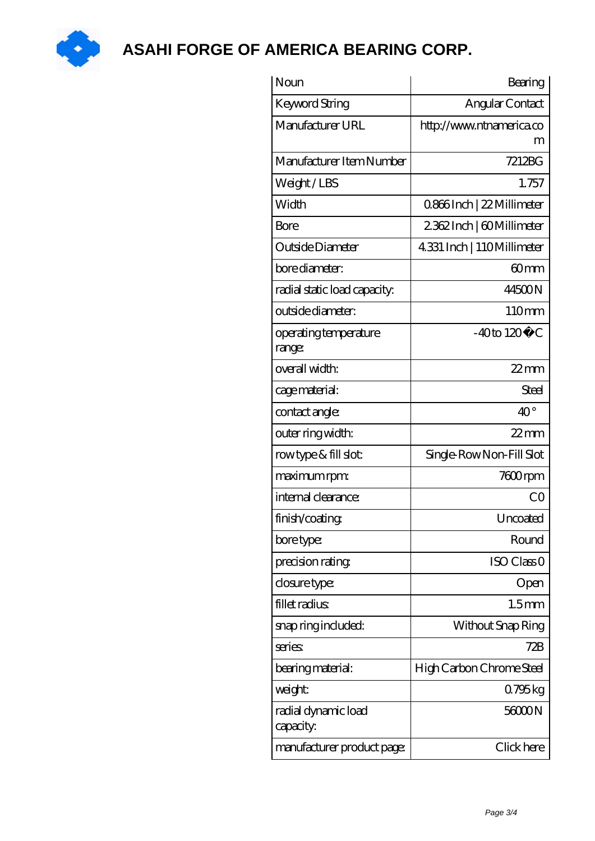

**[ASAHI FORGE OF AMERICA BEARING CORP.](https://pufidikcanavarlar.com)**

| Noun                             | Bearing                    |
|----------------------------------|----------------------------|
| Keyword String                   | Angular Contact            |
| Manufacturer URL                 | http://www.ntnamerica.co   |
| Manufacturer Item Number         | 7212BG                     |
| Weight/LBS                       | 1.757                      |
| Width                            | 0.866Inch   22 Millimeter  |
| Bore                             | 2362Inch   60Millimeter    |
| Outside Diameter                 | 4.331 Inch   110Millimeter |
| bore diameter:                   | 60mm                       |
| radial static load capacity:     | 44500N                     |
| outside diameter:                | 110mm                      |
| operating temperature<br>range:  | $-40$ to $120^{\circ}$ C   |
| overall width:                   | $22$ mm                    |
| cage material:                   | Steel                      |
| contact angle:                   | $40^{\circ}$               |
| outer ring width:                | $22$ mm                    |
| rowtype & fill slot:             | Single-RowNon-Fill Slot    |
| maximum rpm:                     | 7600rpm                    |
| internal clearance:              | CO                         |
| finish/coating                   | Uncoated                   |
| bore type:                       | Round                      |
| precision rating                 | ISO Class <sub>O</sub>     |
| closure type:                    | Open                       |
| fillet radius                    | 1.5 <sub>mm</sub>          |
| snap ring included:              | Without Snap Ring          |
| series:                          | 72B                        |
| bearing material:                | High Carbon Chrome Steel   |
| weight:                          | 0.795 kg                   |
| radial dynamic load<br>capacity: | 56000N                     |
| manufacturer product page:       | Click here                 |